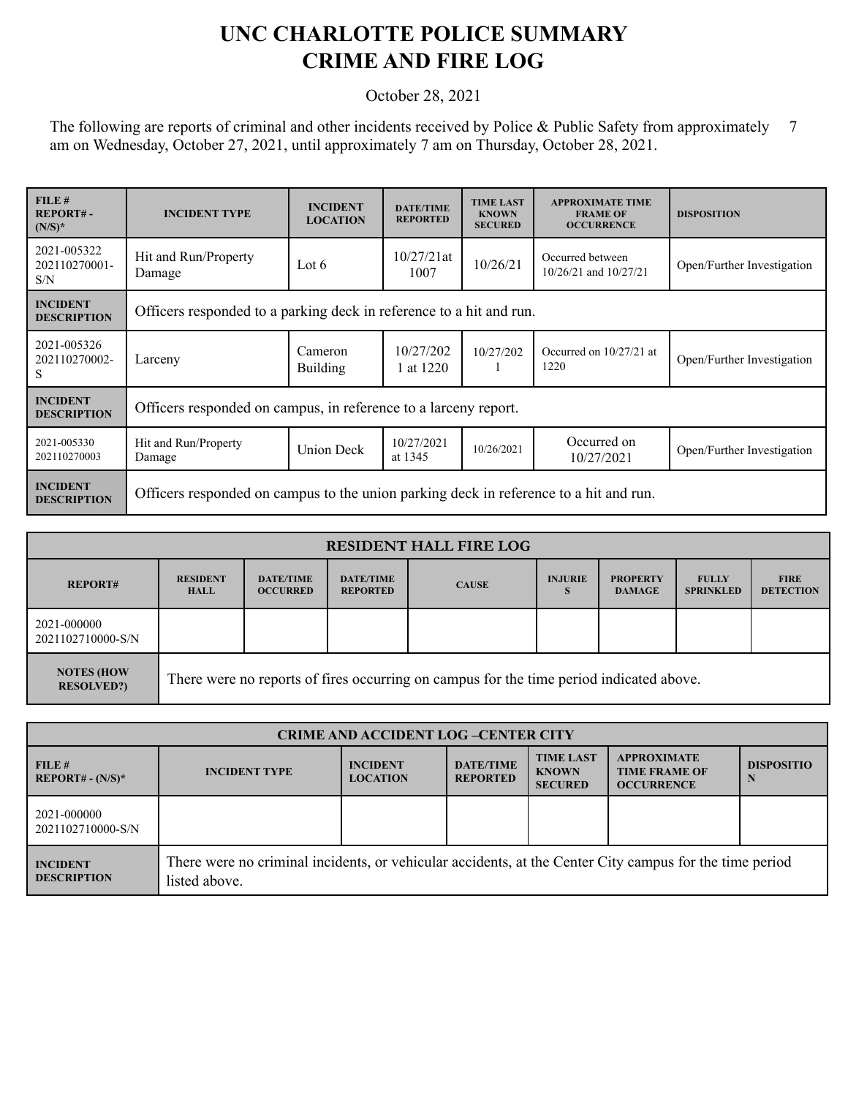## **UNC CHARLOTTE POLICE SUMMARY CRIME AND FIRE LOG**

## October 28, 2021

The following are reports of criminal and other incidents received by Police & Public Safety from approximately 7 am on Wednesday, October 27, 2021, until approximately 7 am on Thursday, October 28, 2021.

| FILE#<br><b>REPORT#-</b><br>$(N/S)^*$ | <b>INCIDENT TYPE</b>                                                                  | <b>INCIDENT</b><br><b>LOCATION</b> | <b>DATE/TIME</b><br><b>REPORTED</b> | <b>TIME LAST</b><br><b>KNOWN</b><br><b>SECURED</b> | <b>APPROXIMATE TIME</b><br><b>FRAME OF</b><br><b>OCCURRENCE</b> | <b>DISPOSITION</b>         |  |
|---------------------------------------|---------------------------------------------------------------------------------------|------------------------------------|-------------------------------------|----------------------------------------------------|-----------------------------------------------------------------|----------------------------|--|
| 2021-005322<br>202110270001-<br>S/N   | Hit and Run/Property<br>Damage                                                        | Lot 6                              | $10/27/21$ at<br>1007               | 10/26/21                                           | Occurred between<br>10/26/21 and 10/27/21                       | Open/Further Investigation |  |
| <b>INCIDENT</b><br><b>DESCRIPTION</b> | Officers responded to a parking deck in reference to a hit and run.                   |                                    |                                     |                                                    |                                                                 |                            |  |
| 2021-005326<br>202110270002-<br>S     | Larceny                                                                               | Cameron<br><b>Building</b>         | 10/27/202<br>1 at 1220              | 10/27/202                                          | Occurred on 10/27/21 at<br>1220                                 | Open/Further Investigation |  |
| <b>INCIDENT</b><br><b>DESCRIPTION</b> | Officers responded on campus, in reference to a larceny report.                       |                                    |                                     |                                                    |                                                                 |                            |  |
| 2021-005330<br>202110270003           | Hit and Run/Property<br>Damage                                                        | <b>Union Deck</b>                  | 10/27/2021<br>at 1345               | 10/26/2021                                         | Occurred on<br>10/27/2021                                       | Open/Further Investigation |  |
| <b>INCIDENT</b><br><b>DESCRIPTION</b> | Officers responded on campus to the union parking deck in reference to a hit and run. |                                    |                                     |                                                    |                                                                 |                            |  |

| <b>RESIDENT HALL FIRE LOG</b>          |                                                                                         |                                     |                                     |              |                     |                                  |                                  |                                 |
|----------------------------------------|-----------------------------------------------------------------------------------------|-------------------------------------|-------------------------------------|--------------|---------------------|----------------------------------|----------------------------------|---------------------------------|
| <b>REPORT#</b>                         | <b>RESIDENT</b><br><b>HALL</b>                                                          | <b>DATE/TIME</b><br><b>OCCURRED</b> | <b>DATE/TIME</b><br><b>REPORTED</b> | <b>CAUSE</b> | <b>INJURIE</b><br>s | <b>PROPERTY</b><br><b>DAMAGE</b> | <b>FULLY</b><br><b>SPRINKLED</b> | <b>FIRE</b><br><b>DETECTION</b> |
| 2021-000000<br>2021102710000-S/N       |                                                                                         |                                     |                                     |              |                     |                                  |                                  |                                 |
| <b>NOTES (HOW</b><br><b>RESOLVED?)</b> | There were no reports of fires occurring on campus for the time period indicated above. |                                     |                                     |              |                     |                                  |                                  |                                 |

| <b>CRIME AND ACCIDENT LOG-CENTER CITY</b> |                                                                                                                          |                                    |                                     |                                                    |                                                                 |                   |  |
|-------------------------------------------|--------------------------------------------------------------------------------------------------------------------------|------------------------------------|-------------------------------------|----------------------------------------------------|-----------------------------------------------------------------|-------------------|--|
| FILE#<br>$REPORT# - (N/S)*$               | <b>INCIDENT TYPE</b>                                                                                                     | <b>INCIDENT</b><br><b>LOCATION</b> | <b>DATE/TIME</b><br><b>REPORTED</b> | <b>TIME LAST</b><br><b>KNOWN</b><br><b>SECURED</b> | <b>APPROXIMATE</b><br><b>TIME FRAME OF</b><br><b>OCCURRENCE</b> | <b>DISPOSITIO</b> |  |
| 2021-000000<br>2021102710000-S/N          |                                                                                                                          |                                    |                                     |                                                    |                                                                 |                   |  |
| <b>INCIDENT</b><br><b>DESCRIPTION</b>     | There were no criminal incidents, or vehicular accidents, at the Center City campus for the time period<br>listed above. |                                    |                                     |                                                    |                                                                 |                   |  |